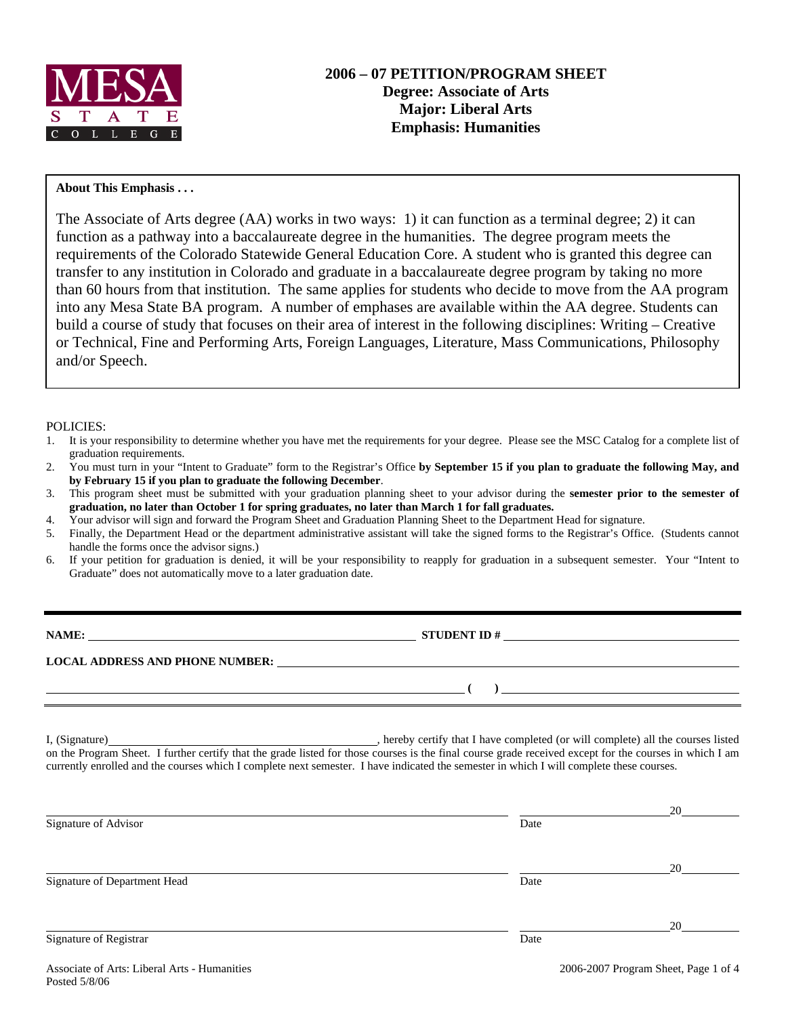

## **About This Emphasis . . .**

The Associate of Arts degree (AA) works in two ways: 1) it can function as a terminal degree; 2) it can function as a pathway into a baccalaureate degree in the humanities. The degree program meets the requirements of the Colorado Statewide General Education Core. A student who is granted this degree can transfer to any institution in Colorado and graduate in a baccalaureate degree program by taking no more than 60 hours from that institution. The same applies for students who decide to move from the AA program into any Mesa State BA program. A number of emphases are available within the AA degree. Students can build a course of study that focuses on their area of interest in the following disciplines: Writing – Creative or Technical, Fine and Performing Arts, Foreign Languages, Literature, Mass Communications, Philosophy and/or Speech.

#### POLICIES:

- 1. It is your responsibility to determine whether you have met the requirements for your degree. Please see the MSC Catalog for a complete list of graduation requirements.
- 2. You must turn in your "Intent to Graduate" form to the Registrar's Office **by September 15 if you plan to graduate the following May, and by February 15 if you plan to graduate the following December**.
- 3. This program sheet must be submitted with your graduation planning sheet to your advisor during the **semester prior to the semester of graduation, no later than October 1 for spring graduates, no later than March 1 for fall graduates.**
- 4. Your advisor will sign and forward the Program Sheet and Graduation Planning Sheet to the Department Head for signature.
- 5. Finally, the Department Head or the department administrative assistant will take the signed forms to the Registrar's Office. (Students cannot handle the forms once the advisor signs.)
- 6. If your petition for graduation is denied, it will be your responsibility to reapply for graduation in a subsequent semester. Your "Intent to Graduate" does not automatically move to a later graduation date.

**NAME: STUDENT ID #**

 **( )** 

**LOCAL ADDRESS AND PHONE NUMBER:**

I, (Signature) , hereby certify that I have completed (or will complete) all the courses listed on the Program Sheet. I further certify that the grade listed for those courses is the final course grade received except for the courses in which I am currently enrolled and the courses which I complete next semester. I have indicated the semester in which I will complete these courses.

|                              |      | 20 |
|------------------------------|------|----|
| Signature of Advisor         | Date |    |
|                              |      | 20 |
| Signature of Department Head | Date |    |
|                              |      | 20 |
| Signature of Registrar       | Date |    |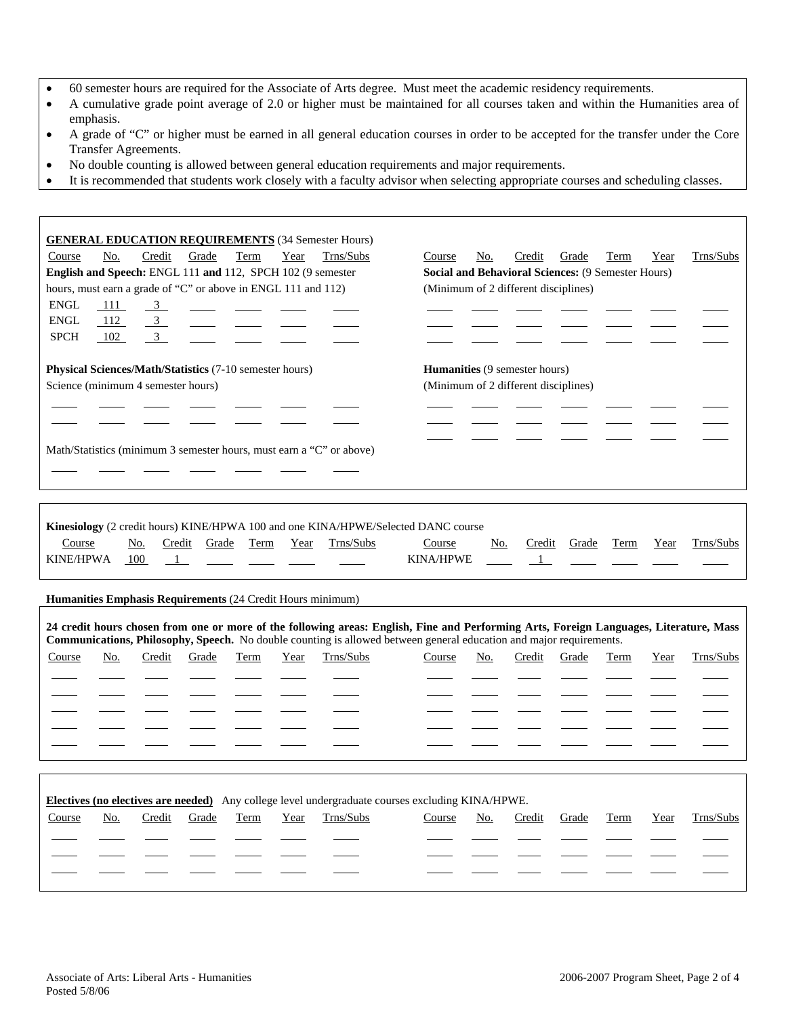- 60 semester hours are required for the Associate of Arts degree. Must meet the academic residency requirements.
- A cumulative grade point average of 2.0 or higher must be maintained for all courses taken and within the Humanities area of emphasis.
- A grade of "C" or higher must be earned in all general education courses in order to be accepted for the transfer under the Core Transfer Agreements.
- No double counting is allowed between general education requirements and major requirements.
- It is recommended that students work closely with a faculty advisor when selecting appropriate courses and scheduling classes.

| <b>GENERAL EDUCATION REQUIREMENTS (34 Semester Hours)</b><br>No.<br>Course<br>Credit<br>Grade<br>Term<br>Year<br>Trns/Subs<br>English and Speech: ENGL 111 and 112, SPCH 102 (9 semester<br>hours, must earn a grade of "C" or above in ENGL 111 and 112)<br><b>ENGL</b><br>111<br>$\overline{\mathbf{3}}$<br><b>ENGL</b><br>112<br>$\overline{3}$<br>3 <sup>7</sup><br><b>SPCH</b><br>102 | Trns/Subs<br>Course<br>No.<br>Credit<br>Grade<br>Term<br>Year<br><b>Social and Behavioral Sciences: (9 Semester Hours)</b><br>(Minimum of 2 different disciplines) |
|--------------------------------------------------------------------------------------------------------------------------------------------------------------------------------------------------------------------------------------------------------------------------------------------------------------------------------------------------------------------------------------------|--------------------------------------------------------------------------------------------------------------------------------------------------------------------|
| Physical Sciences/Math/Statistics (7-10 semester hours)                                                                                                                                                                                                                                                                                                                                    | <b>Humanities</b> (9 semester hours)                                                                                                                               |
| Science (minimum 4 semester hours)                                                                                                                                                                                                                                                                                                                                                         | (Minimum of 2 different disciplines)                                                                                                                               |
|                                                                                                                                                                                                                                                                                                                                                                                            |                                                                                                                                                                    |
| Math/Statistics (minimum 3 semester hours, must earn a "C" or above)                                                                                                                                                                                                                                                                                                                       |                                                                                                                                                                    |
|                                                                                                                                                                                                                                                                                                                                                                                            |                                                                                                                                                                    |
|                                                                                                                                                                                                                                                                                                                                                                                            |                                                                                                                                                                    |
| Kinesiology (2 credit hours) KINE/HPWA 100 and one KINA/HPWE/Selected DANC course<br><b>Term</b><br>Trns/Subs<br>Course<br><u>No.</u><br>Credit<br>Grade<br>Year<br><b>KINE/HPWA</b><br>100<br>$\overline{1}$                                                                                                                                                                              | Trns/Subs<br>Course<br><u>No.</u><br>Credit<br>Grade<br><b>Term</b><br>Year<br><b>KINA/HPWE</b><br>1                                                               |
| Humanities Emphasis Requirements (24 Credit Hours minimum)                                                                                                                                                                                                                                                                                                                                 |                                                                                                                                                                    |
| 24 credit hours chosen from one or more of the following areas: English, Fine and Performing Arts, Foreign Languages, Literature, Mass<br>Communications, Philosophy, Speech. No double counting is allowed between general education and major requirements.                                                                                                                              |                                                                                                                                                                    |
|                                                                                                                                                                                                                                                                                                                                                                                            |                                                                                                                                                                    |
| Trns/Subs<br>Course<br>No.<br>Credit<br>Grade<br>Term<br>Year                                                                                                                                                                                                                                                                                                                              | Trns/Subs<br>Course<br>No.<br>Credit<br>Grade<br>Term<br>Year                                                                                                      |
|                                                                                                                                                                                                                                                                                                                                                                                            |                                                                                                                                                                    |
|                                                                                                                                                                                                                                                                                                                                                                                            |                                                                                                                                                                    |
|                                                                                                                                                                                                                                                                                                                                                                                            |                                                                                                                                                                    |
|                                                                                                                                                                                                                                                                                                                                                                                            |                                                                                                                                                                    |
| Electives (no electives are needed) Any college level undergraduate courses excluding KINA/HPWE.                                                                                                                                                                                                                                                                                           |                                                                                                                                                                    |
| Trns/Subs<br>No.<br>Credit<br>Year<br>Course<br>Grade<br>Term                                                                                                                                                                                                                                                                                                                              | Trns/Subs<br>Credit<br>Course<br>No.<br>Grade<br>Term<br>Year                                                                                                      |
|                                                                                                                                                                                                                                                                                                                                                                                            |                                                                                                                                                                    |

 $\Gamma$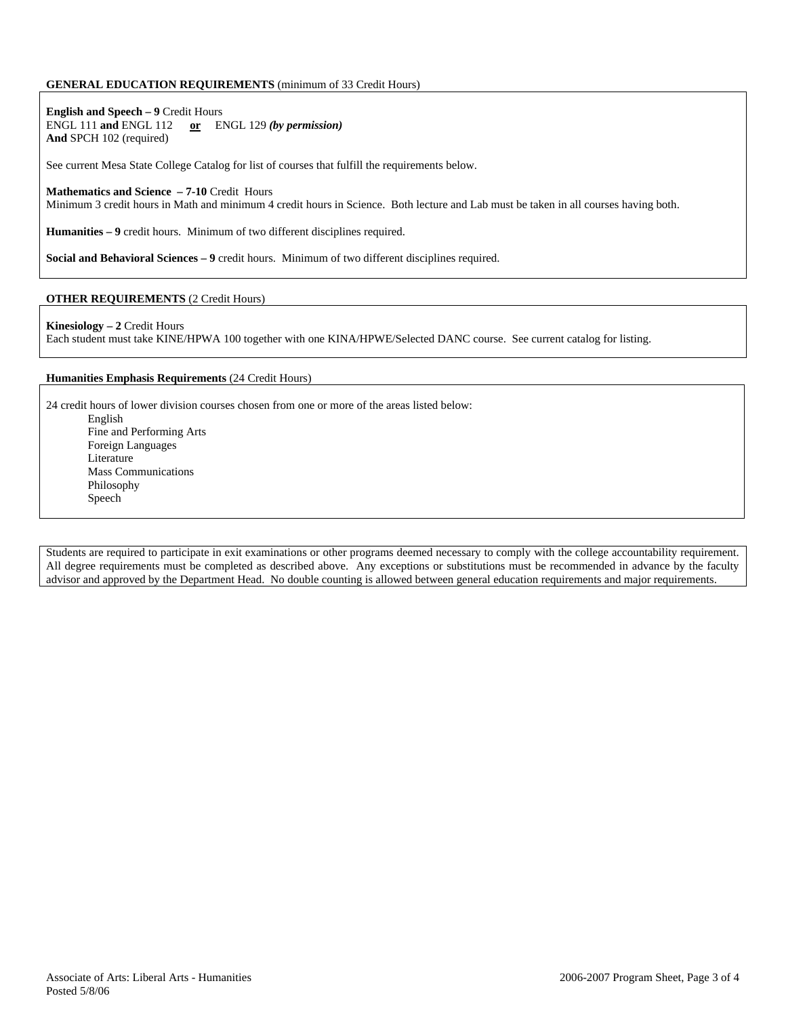### **GENERAL EDUCATION REQUIREMENTS** (minimum of 33 Credit Hours)

**English and Speech – 9** Credit Hours ENGL 111 **and** ENGL 112 **or** ENGL 129 *(by permission)* **And** SPCH 102 (required)

See current Mesa State College Catalog for list of courses that fulfill the requirements below.

#### **Mathematics and Science – 7-10** Credit Hours

Minimum 3 credit hours in Math and minimum 4 credit hours in Science. Both lecture and Lab must be taken in all courses having both.

**Humanities – 9** credit hours. Minimum of two different disciplines required.

**Social and Behavioral Sciences – 9** credit hours. Minimum of two different disciplines required.

### **OTHER REQUIREMENTS** (2 Credit Hours)

#### **Kinesiology – 2** Credit Hours

Each student must take KINE/HPWA 100 together with one KINA/HPWE/Selected DANC course. See current catalog for listing.

#### **Humanities Emphasis Requirements** (24 Credit Hours)

24 credit hours of lower division courses chosen from one or more of the areas listed below:

English Fine and Performing Arts Foreign Languages Literature Mass Communications Philosophy Speech

Students are required to participate in exit examinations or other programs deemed necessary to comply with the college accountability requirement. All degree requirements must be completed as described above. Any exceptions or substitutions must be recommended in advance by the faculty advisor and approved by the Department Head. No double counting is allowed between general education requirements and major requirements.